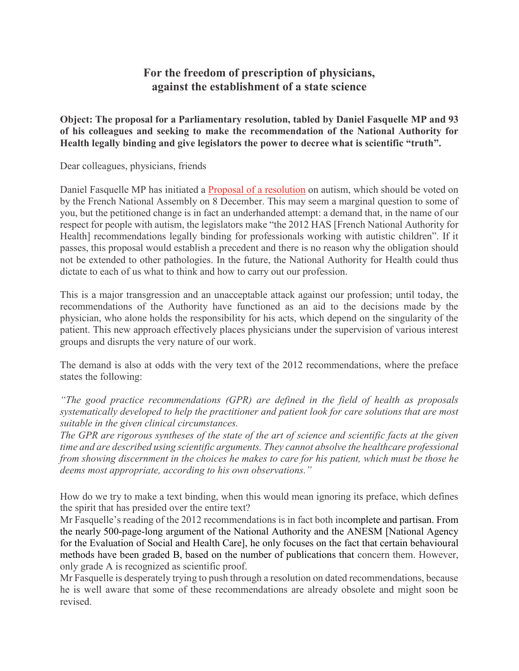## **For the freedom of prescription of physicians, against the establishment of a state science**

**Object: The proposal for a Parliamentary resolution, tabled by Daniel Fasquelle MP and 93 of his colleagues and seeking to make the recommendation of the National Authority for Health legally binding and give legislators the power to decree what is scientific "truth".** 

Dear colleagues, physicians, friends

Daniel Fasquelle MP has initiated a Proposal of a resolution on autism, which should be voted on by the French National Assembly on 8 December. This may seem a marginal question to some of you, but the petitioned change is in fact an underhanded attempt: a demand that, in the name of our respect for people with autism, the legislators make "the 2012 HAS [French National Authority for Health] recommendations legally binding for professionals working with autistic children". If it passes, this proposal would establish a precedent and there is no reason why the obligation should not be extended to other pathologies. In the future, the National Authority for Health could thus dictate to each of us what to think and how to carry out our profession.

This is a major transgression and an unacceptable attack against our profession; until today, the recommendations of the Authority have functioned as an aid to the decisions made by the physician, who alone holds the responsibility for his acts, which depend on the singularity of the patient. This new approach effectively places physicians under the supervision of various interest groups and disrupts the very nature of our work.

The demand is also at odds with the very text of the 2012 recommendations, where the preface states the following:

*"The good practice recommendations (GPR) are defined in the field of health as proposals systematically developed to help the practitioner and patient look for care solutions that are most suitable in the given clinical circumstances.*

*The GPR are rigorous syntheses of the state of the art of science and scientific facts at the given time and are described using scientific arguments. They cannot absolve the healthcare professional from showing discernment in the choices he makes to care for his patient, which must be those he deems most appropriate, according to his own observations."*

How do we try to make a text binding, when this would mean ignoring its preface, which defines the spirit that has presided over the entire text?

Mr Fasquelle's reading of the 2012 recommendations is in fact both incomplete and partisan. From the nearly 500-page-long argument of the National Authority and the ANESM [National Agency for the Evaluation of Social and Health Care], he only focuses on the fact that certain behavioural methods have been graded B, based on the number of publications that concern them. However, only grade A is recognized as scientific proof.

Mr Fasquelle is desperately trying to push through a resolution on dated recommendations, because he is well aware that some of these recommendations are already obsolete and might soon be revised.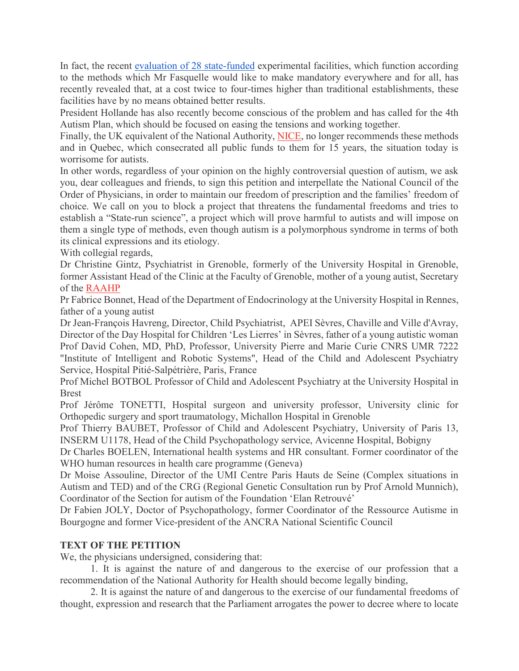In fact, the recent evaluation of 28 state-funded experimental facilities, which function according to the methods which Mr Fasquelle would like to make mandatory everywhere and for all, has recently revealed that, at a cost twice to four-times higher than traditional establishments, these facilities have by no means obtained better results.

President Hollande has also recently become conscious of the problem and has called for the 4th Autism Plan, which should be focused on easing the tensions and working together.

Finally, the UK equivalent of the National Authority, NICE, no longer recommends these methods and in Quebec, which consecrated all public funds to them for 15 years, the situation today is worrisome for autists.

In other words, regardless of your opinion on the highly controversial question of autism, we ask you, dear colleagues and friends, to sign this petition and interpellate the National Council of the Order of Physicians, in order to maintain our freedom of prescription and the families' freedom of choice. We call on you to block a project that threatens the fundamental freedoms and tries to establish a "State-run science", a project which will prove harmful to autists and will impose on them a single type of methods, even though autism is a polymorphous syndrome in terms of both its clinical expressions and its etiology.

With collegial regards,

Dr Christine Gintz, Psychiatrist in Grenoble, formerly of the University Hospital in Grenoble, former Assistant Head of the Clinic at the Faculty of Grenoble, mother of a young autist, Secretary of the RAAHP

Pr Fabrice Bonnet, Head of the Department of Endocrinology at the University Hospital in Rennes, father of a young autist

Dr Jean-François Havreng, Director, Child Psychiatrist, APEI Sèvres, Chaville and Ville d'Avray, Director of the Day Hospital for Children 'Les Lierres' in Sèvres, father of a young autistic woman Prof David Cohen, MD, PhD, Professor, University Pierre and Marie Curie CNRS UMR 7222 "Institute of Intelligent and Robotic Systems", Head of the Child and Adolescent Psychiatry Service, Hospital Pitié-Salpétrière, Paris, France

Prof Michel BOTBOL Professor of Child and Adolescent Psychiatry at the University Hospital in Brest

Prof Jérôme TONETTI, Hospital surgeon and university professor, University clinic for Orthopedic surgery and sport traumatology, Michallon Hospital in Grenoble

Prof Thierry BAUBET, Professor of Child and Adolescent Psychiatry, University of Paris 13, INSERM U1178, Head of the Child Psychopathology service, Avicenne Hospital, Bobigny

Dr Charles BOELEN, International health systems and HR consultant. Former coordinator of the WHO human resources in health care programme (Geneva)

Dr Moise Assouline, Director of the UMI Centre Paris Hauts de Seine (Complex situations in Autism and TED) and of the CRG (Regional Genetic Consultation run by Prof Arnold Munnich), Coordinator of the Section for autism of the Foundation 'Elan Retrouvé'

Dr Fabien JOLY, Doctor of Psychopathology, former Coordinator of the Ressource Autisme in Bourgogne and former Vice-president of the ANCRA National Scientific Council

## **TEXT OF THE PETITION**

We, the physicians undersigned, considering that:

 1. It is against the nature of and dangerous to the exercise of our profession that a recommendation of the National Authority for Health should become legally binding,

 2. It is against the nature of and dangerous to the exercise of our fundamental freedoms of thought, expression and research that the Parliament arrogates the power to decree where to locate